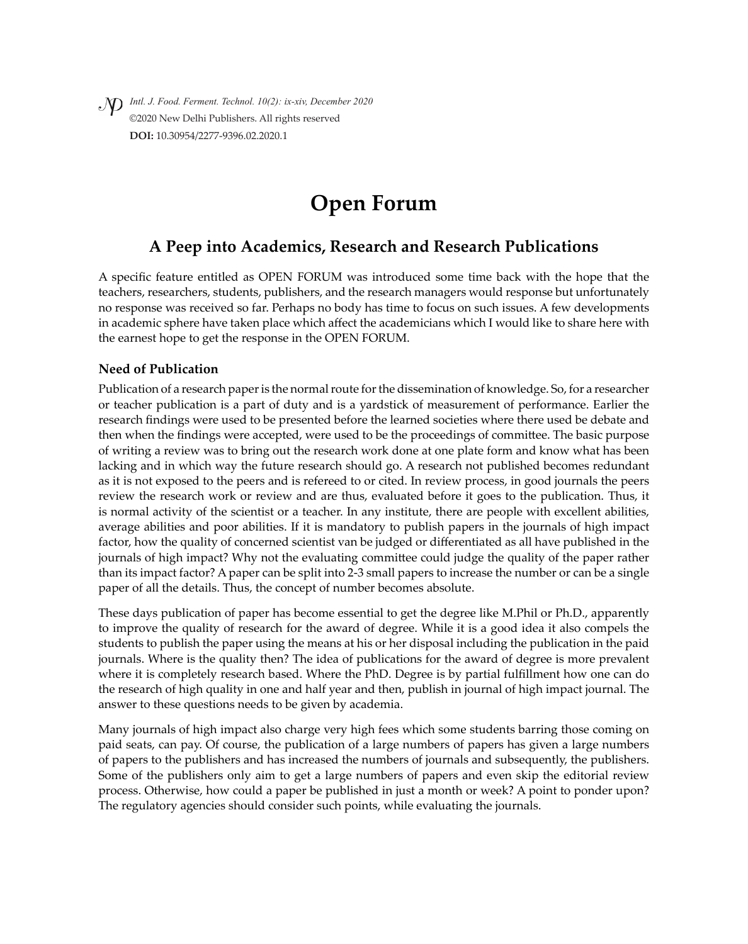*Intl. J. Food. Ferment. Technol. 10(2): ix-xiv, December 2020* ©2020 New Delhi Publishers. All rights reserved **DOI:** 10.30954/2277-9396.02.2020.1

# **Open Forum**

# **A Peep into Academics, Research and Research Publications**

A specific feature entitled as OPEN FORUM was introduced some time back with the hope that the teachers, researchers, students, publishers, and the research managers would response but unfortunately no response was received so far. Perhaps no body has time to focus on such issues. A few developments in academic sphere have taken place which affect the academicians which I would like to share here with the earnest hope to get the response in the OPEN FORUM.

# **Need of Publication**

Publication of a research paper is the normal route for the dissemination of knowledge. So, for a researcher or teacher publication is a part of duty and is a yardstick of measurement of performance. Earlier the research findings were used to be presented before the learned societies where there used be debate and then when the findings were accepted, were used to be the proceedings of committee. The basic purpose of writing a review was to bring out the research work done at one plate form and know what has been lacking and in which way the future research should go. A research not published becomes redundant as it is not exposed to the peers and is refereed to or cited. In review process, in good journals the peers review the research work or review and are thus, evaluated before it goes to the publication. Thus, it is normal activity of the scientist or a teacher. In any institute, there are people with excellent abilities, average abilities and poor abilities. If it is mandatory to publish papers in the journals of high impact factor, how the quality of concerned scientist van be judged or differentiated as all have published in the journals of high impact? Why not the evaluating committee could judge the quality of the paper rather than its impact factor? A paper can be split into 2-3 small papers to increase the number or can be a single paper of all the details. Thus, the concept of number becomes absolute.

These days publication of paper has become essential to get the degree like M.Phil or Ph.D., apparently to improve the quality of research for the award of degree. While it is a good idea it also compels the students to publish the paper using the means at his or her disposal including the publication in the paid journals. Where is the quality then? The idea of publications for the award of degree is more prevalent where it is completely research based. Where the PhD. Degree is by partial fulfillment how one can do the research of high quality in one and half year and then, publish in journal of high impact journal. The answer to these questions needs to be given by academia.

Many journals of high impact also charge very high fees which some students barring those coming on paid seats, can pay. Of course, the publication of a large numbers of papers has given a large numbers of papers to the publishers and has increased the numbers of journals and subsequently, the publishers. Some of the publishers only aim to get a large numbers of papers and even skip the editorial review process. Otherwise, how could a paper be published in just a month or week? A point to ponder upon? The regulatory agencies should consider such points, while evaluating the journals.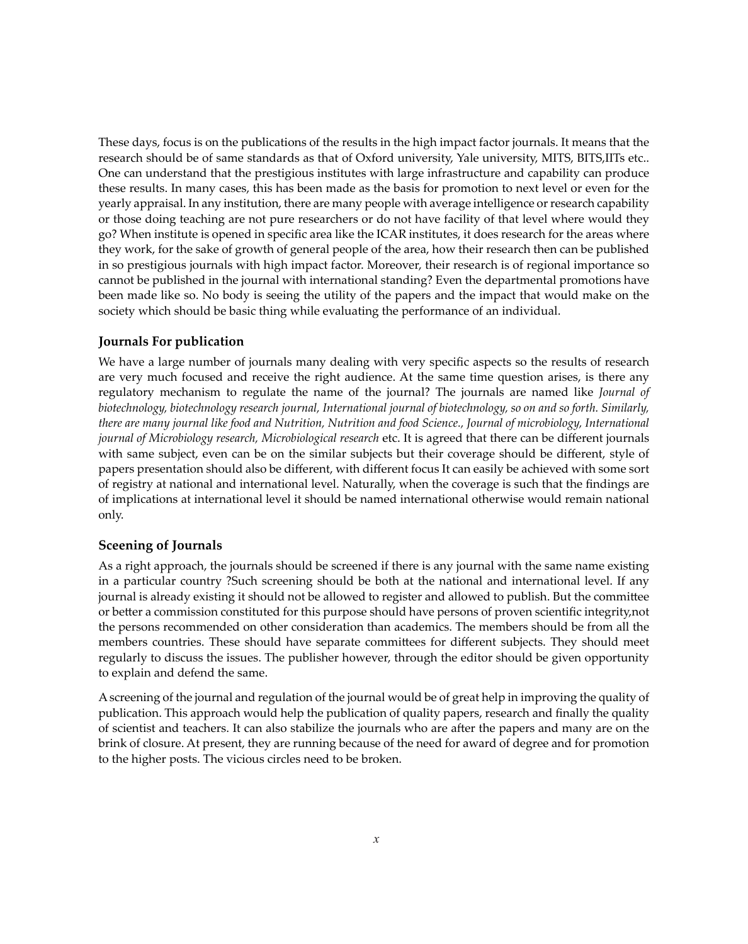These days, focus is on the publications of the results in the high impact factor journals. It means that the research should be of same standards as that of Oxford university, Yale university, MITS, BITS,IITs etc.. One can understand that the prestigious institutes with large infrastructure and capability can produce these results. In many cases, this has been made as the basis for promotion to next level or even for the yearly appraisal. In any institution, there are many people with average intelligence or research capability or those doing teaching are not pure researchers or do not have facility of that level where would they go? When institute is opened in specific area like the ICAR institutes, it does research for the areas where they work, for the sake of growth of general people of the area, how their research then can be published in so prestigious journals with high impact factor. Moreover, their research is of regional importance so cannot be published in the journal with international standing? Even the departmental promotions have been made like so. No body is seeing the utility of the papers and the impact that would make on the society which should be basic thing while evaluating the performance of an individual.

#### **Journals For publication**

We have a large number of journals many dealing with very specific aspects so the results of research are very much focused and receive the right audience. At the same time question arises, is there any regulatory mechanism to regulate the name of the journal? The journals are named like *Journal of biotechnology, biotechnology research journal, International journal of biotechnology, so on and so forth. Similarly, there are many journal like food and Nutrition, Nutrition and food Science., Journal of microbiology, International journal of Microbiology research, Microbiological research* etc. It is agreed that there can be different journals with same subject, even can be on the similar subjects but their coverage should be different, style of papers presentation should also be different, with different focus It can easily be achieved with some sort of registry at national and international level. Naturally, when the coverage is such that the findings are of implications at international level it should be named international otherwise would remain national only.

#### **Sceening of Journals**

As a right approach, the journals should be screened if there is any journal with the same name existing in a particular country ?Such screening should be both at the national and international level. If any journal is already existing it should not be allowed to register and allowed to publish. But the committee or better a commission constituted for this purpose should have persons of proven scientific integrity,not the persons recommended on other consideration than academics. The members should be from all the members countries. These should have separate committees for different subjects. They should meet regularly to discuss the issues. The publisher however, through the editor should be given opportunity to explain and defend the same.

A screening of the journal and regulation of the journal would be of great help in improving the quality of publication. This approach would help the publication of quality papers, research and finally the quality of scientist and teachers. It can also stabilize the journals who are after the papers and many are on the brink of closure. At present, they are running because of the need for award of degree and for promotion to the higher posts. The vicious circles need to be broken.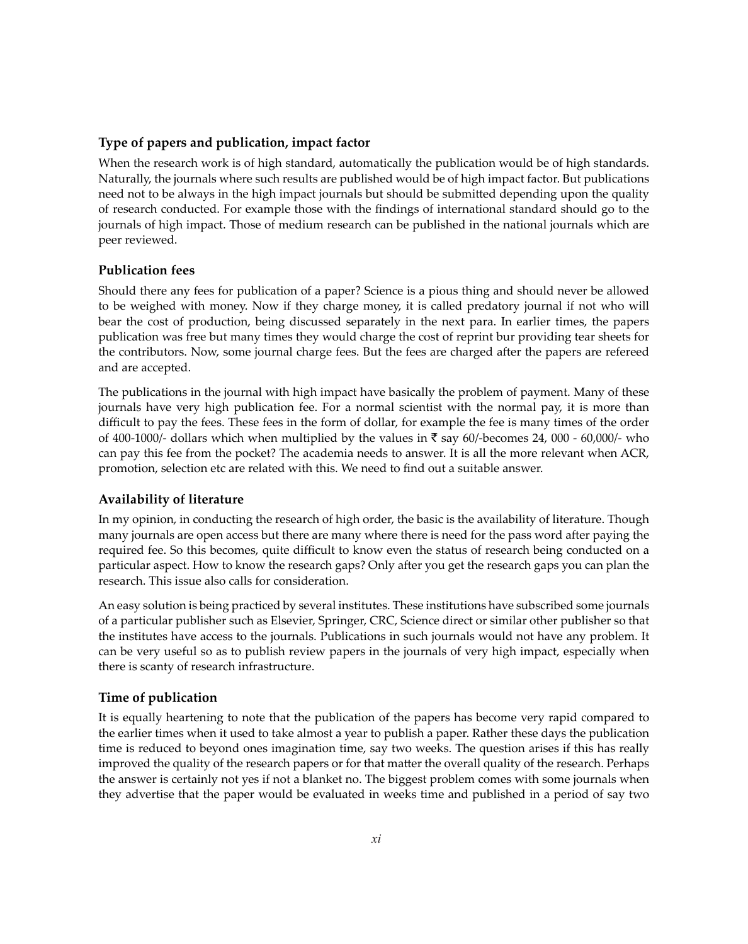#### **Type of papers and publication, impact factor**

When the research work is of high standard, automatically the publication would be of high standards. Naturally, the journals where such results are published would be of high impact factor. But publications need not to be always in the high impact journals but should be submitted depending upon the quality of research conducted. For example those with the findings of international standard should go to the journals of high impact. Those of medium research can be published in the national journals which are peer reviewed.

#### **Publication fees**

Should there any fees for publication of a paper? Science is a pious thing and should never be allowed to be weighed with money. Now if they charge money, it is called predatory journal if not who will bear the cost of production, being discussed separately in the next para. In earlier times, the papers publication was free but many times they would charge the cost of reprint bur providing tear sheets for the contributors. Now, some journal charge fees. But the fees are charged after the papers are refereed and are accepted.

The publications in the journal with high impact have basically the problem of payment. Many of these journals have very high publication fee. For a normal scientist with the normal pay, it is more than difficult to pay the fees. These fees in the form of dollar, for example the fee is many times of the order of 400-1000/- dollars which when multiplied by the values in  $\bar{\tau}$  say 60/-becomes 24, 000 - 60,000/- who can pay this fee from the pocket? The academia needs to answer. It is all the more relevant when ACR, promotion, selection etc are related with this. We need to find out a suitable answer.

# **Availability of literature**

In my opinion, in conducting the research of high order, the basic is the availability of literature. Though many journals are open access but there are many where there is need for the pass word after paying the required fee. So this becomes, quite difficult to know even the status of research being conducted on a particular aspect. How to know the research gaps? Only after you get the research gaps you can plan the research. This issue also calls for consideration.

An easy solution is being practiced by several institutes. These institutions have subscribed some journals of a particular publisher such as Elsevier, Springer, CRC, Science direct or similar other publisher so that the institutes have access to the journals. Publications in such journals would not have any problem. It can be very useful so as to publish review papers in the journals of very high impact, especially when there is scanty of research infrastructure.

# **Time of publication**

It is equally heartening to note that the publication of the papers has become very rapid compared to the earlier times when it used to take almost a year to publish a paper. Rather these days the publication time is reduced to beyond ones imagination time, say two weeks. The question arises if this has really improved the quality of the research papers or for that matter the overall quality of the research. Perhaps the answer is certainly not yes if not a blanket no. The biggest problem comes with some journals when they advertise that the paper would be evaluated in weeks time and published in a period of say two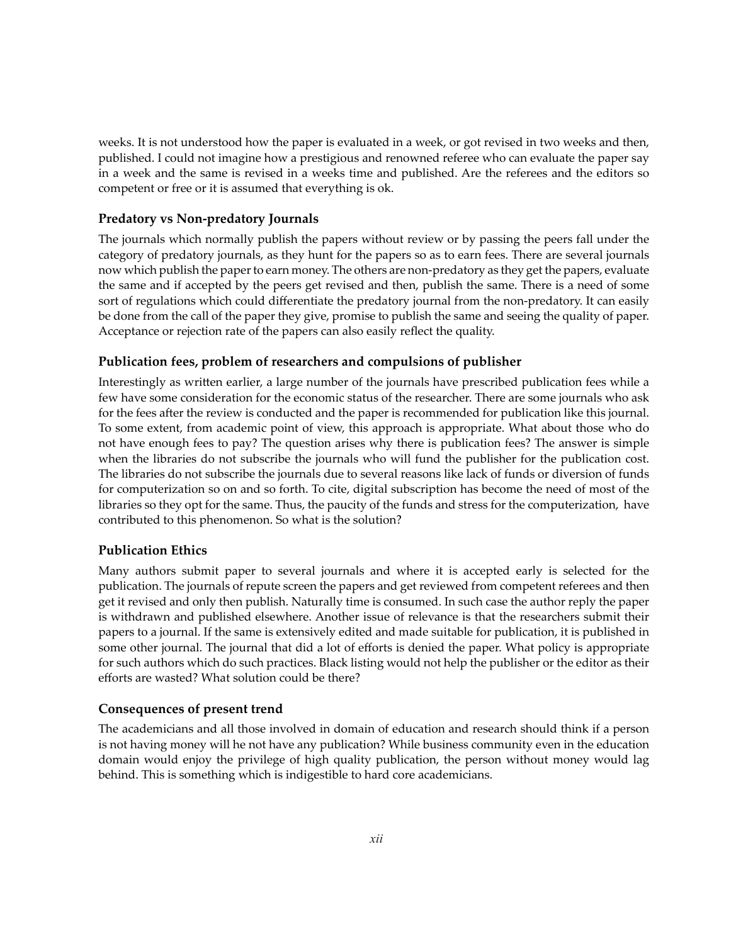weeks. It is not understood how the paper is evaluated in a week, or got revised in two weeks and then, published. I could not imagine how a prestigious and renowned referee who can evaluate the paper say in a week and the same is revised in a weeks time and published. Are the referees and the editors so competent or free or it is assumed that everything is ok.

#### **Predatory vs Non-predatory Journals**

The journals which normally publish the papers without review or by passing the peers fall under the category of predatory journals, as they hunt for the papers so as to earn fees. There are several journals now which publish the paper to earn money. The others are non-predatory as they get the papers, evaluate the same and if accepted by the peers get revised and then, publish the same. There is a need of some sort of regulations which could differentiate the predatory journal from the non-predatory. It can easily be done from the call of the paper they give, promise to publish the same and seeing the quality of paper. Acceptance or rejection rate of the papers can also easily reflect the quality.

#### **Publication fees, problem of researchers and compulsions of publisher**

Interestingly as written earlier, a large number of the journals have prescribed publication fees while a few have some consideration for the economic status of the researcher. There are some journals who ask for the fees after the review is conducted and the paper is recommended for publication like this journal. To some extent, from academic point of view, this approach is appropriate. What about those who do not have enough fees to pay? The question arises why there is publication fees? The answer is simple when the libraries do not subscribe the journals who will fund the publisher for the publication cost. The libraries do not subscribe the journals due to several reasons like lack of funds or diversion of funds for computerization so on and so forth. To cite, digital subscription has become the need of most of the libraries so they opt for the same. Thus, the paucity of the funds and stress for the computerization, have contributed to this phenomenon. So what is the solution?

#### **Publication Ethics**

Many authors submit paper to several journals and where it is accepted early is selected for the publication. The journals of repute screen the papers and get reviewed from competent referees and then get it revised and only then publish. Naturally time is consumed. In such case the author reply the paper is withdrawn and published elsewhere. Another issue of relevance is that the researchers submit their papers to a journal. If the same is extensively edited and made suitable for publication, it is published in some other journal. The journal that did a lot of efforts is denied the paper. What policy is appropriate for such authors which do such practices. Black listing would not help the publisher or the editor as their efforts are wasted? What solution could be there?

#### **Consequences of present trend**

The academicians and all those involved in domain of education and research should think if a person is not having money will he not have any publication? While business community even in the education domain would enjoy the privilege of high quality publication, the person without money would lag behind. This is something which is indigestible to hard core academicians.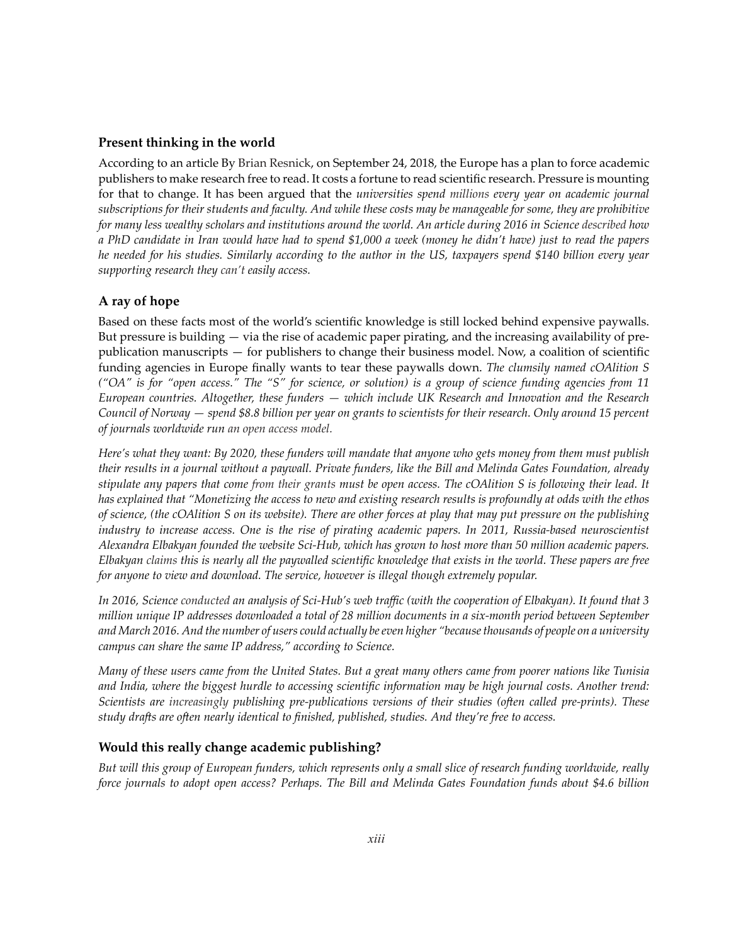#### **Present thinking in the world**

According to an article By Brian Resnick, on September 24, 2018, the Europe has a plan to force academic publishers to make research free to read. It costs a fortune to read scientific research. Pressure is mounting for that to change. It has been argued that the *universities spend millions every year on academic journal subscriptions for their students and faculty. And while these costs may be manageable for some, they are prohibitive for many less wealthy scholars and institutions around the world. An article during 2016 in Science described how a PhD candidate in Iran would have had to spend \$1,000 a week (money he didn't have) just to read the papers he needed for his studies. Similarly according to the author in the US, taxpayers spend \$140 billion every year supporting research they can't easily access.*

#### **A ray of hope**

Based on these facts most of the world's scientific knowledge is still locked behind expensive paywalls. But pressure is building — via the rise of academic paper pirating, and the increasing availability of prepublication manuscripts — for publishers to change their business model. Now, a coalition of scientific funding agencies in Europe finally wants to tear these paywalls down. *The clumsily named cOAlition S ("OA" is for "open access." The "S" for science, or solution) is a group of science funding agencies from 11 European countries. Altogether, these funders — which include UK Research and Innovation and the Research Council of Norway — spend \$8.8 billion per year on grants to scientists for their research. Only around 15 percent of journals worldwide run an open access model.*

*Here's what they want: By 2020, these funders will mandate that anyone who gets money from them must publish their results in a journal without a paywall. Private funders, like the Bill and Melinda Gates Foundation, already stipulate any papers that come from their grants must be open access. The cOAlition S is following their lead. It has explained that "Monetizing the access to new and existing research results is profoundly at odds with the ethos of science, (the cOAlition S on its website). There are other forces at play that may put pressure on the publishing industry to increase access. One is the rise of pirating academic papers. In 2011, Russia-based neuroscientist Alexandra Elbakyan founded the website Sci-Hub, which has grown to host more than 50 million academic papers. Elbakyan claims this is nearly all the paywalled scientific knowledge that exists in the world. These papers are free for anyone to view and download. The service, however is illegal though extremely popular.*

*In 2016, Science conducted an analysis of Sci-Hub's web traffic (with the cooperation of Elbakyan). It found that 3 million unique IP addresses downloaded a total of 28 million documents in a six-month period between September and March 2016. And the number of users could actually be even higher "because thousands of people on a university campus can share the same IP address," according to Science.*

*Many of these users came from the United States. But a great many others came from poorer nations like Tunisia and India, where the biggest hurdle to accessing scientific information may be high journal costs. Another trend: Scientists are increasingly publishing pre-publications versions of their studies (often called pre-prints). These study drafts are often nearly identical to finished, published, studies. And they're free to access.*

#### **Would this really change academic publishing?**

*But will this group of European funders, which represents only a small slice of research funding worldwide, really force journals to adopt open access? Perhaps. The Bill and Melinda Gates Foundation funds about \$4.6 billion*